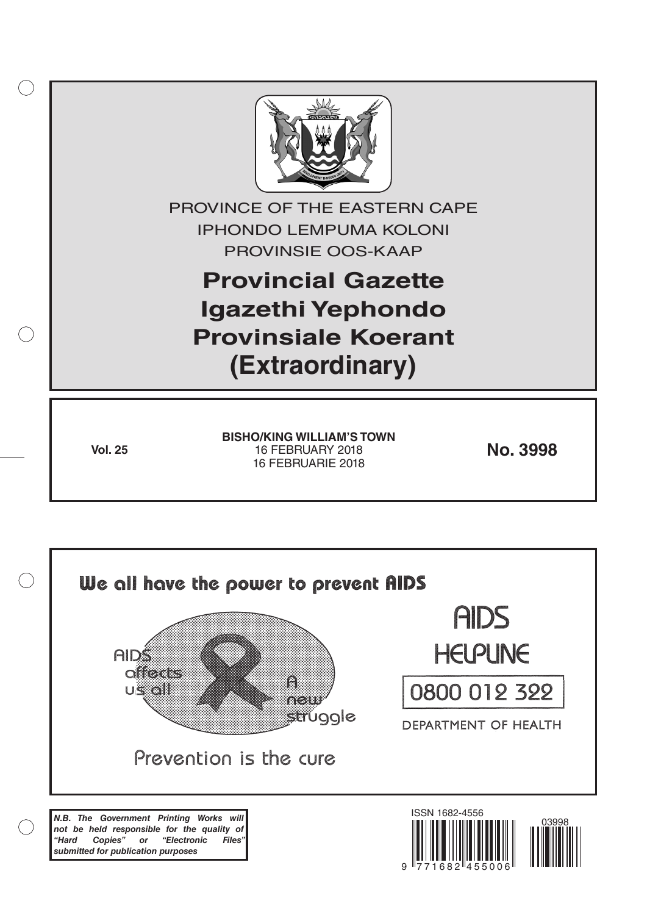

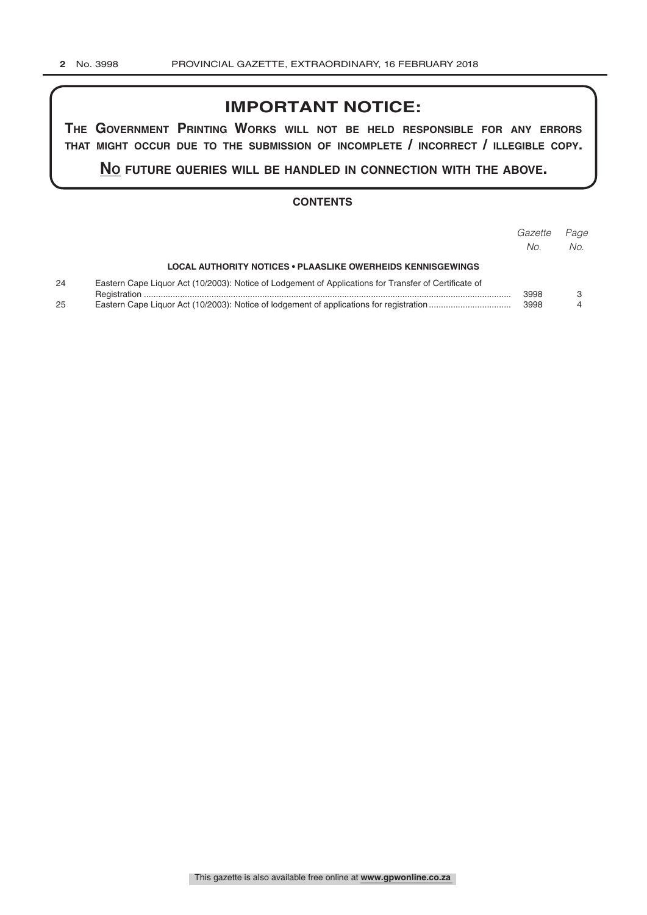# **IMPORTANT NOTICE:**

**The GovernmenT PrinTinG Works Will noT be held resPonsible for any errors ThaT miGhT occur due To The submission of incomPleTe / incorrecT / illeGible coPy.**

**no fuTure queries Will be handled in connecTion WiTh The above.**

# **CONTENTS**

|    |                                                                                                       | Gazette<br>No. | Paae<br>No. |
|----|-------------------------------------------------------------------------------------------------------|----------------|-------------|
|    | <b>LOCAL AUTHORITY NOTICES • PLAASLIKE OWERHEIDS KENNISGEWINGS</b>                                    |                |             |
| 24 | Eastern Cape Liquor Act (10/2003): Notice of Lodgement of Applications for Transfer of Certificate of | 3998           |             |
| 25 |                                                                                                       | 3998           |             |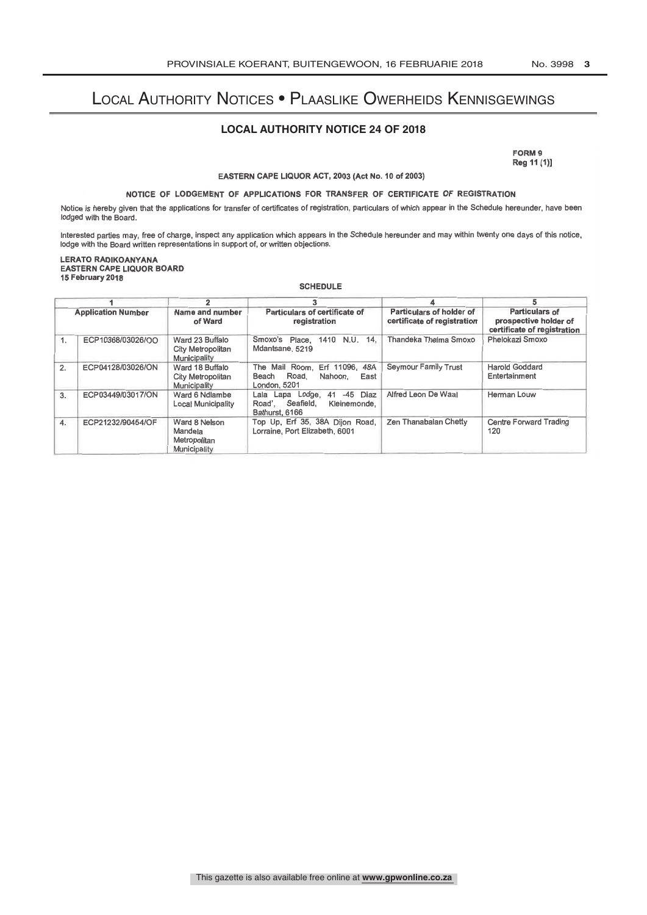# Local Authority Notices • Plaaslike Owerheids Kennisgewings

# **LOCAL AUTHORITY NOTICE 24 OF 2018**

FORM 9 Reg 11 (1)]

### EASTERN CAPE LIQUOR ACT, 2003 (Act No. 10 of 2003)

### NOTICE OF LODGEMENT OF APPLICATIONS FOR TRANSFER OF CERTIFICATE OF REGISTRATION

Notice is hereby given that the applications for transfer of certificates of registration, particulars of which appear in the Schedule hereunder, have been lodged with the Board.

Interested parties may, free of charge, inspect any application which appears in the Schedule hereunder and may within twenty one days of this notice, lodge with the Board written representations in support of, or written objections.

#### LERATO RADIKOANYANA EASTERN CAPE LIQUOR BOARD 15 February 2018

#### **SCHEDULE**

| <b>Application Number</b> |                   | Particulars of certificate of<br>Name and number<br>registration<br>of Ward |                                                                                          |                                                         |                                                                               |  |
|---------------------------|-------------------|-----------------------------------------------------------------------------|------------------------------------------------------------------------------------------|---------------------------------------------------------|-------------------------------------------------------------------------------|--|
|                           |                   |                                                                             |                                                                                          | Particulars of holder of<br>certificate of registration | <b>Particulars of</b><br>prospective holder of<br>certificate of registration |  |
|                           | ECP10368/03026/OO | Ward 23 Buffalo<br>City Metropolitan<br>Municipality                        | Smoxo's Place,<br>1410 N.U. 14.<br>Mdantsane, 5219                                       | Thandeka Thelma Smoxo                                   | Phelokazi Smoxo                                                               |  |
| 2.                        | ECP04128/03026/ON | Ward 18 Buffalo<br>City Metropolitan<br>Municipality                        | Erf 11096.<br>48A<br>The Mail Room.<br>Nahoon.<br>Road.<br>East<br>Beach<br>London, 5201 | Seymour Family Trust                                    | <b>Harold Goddard</b><br>Entertainment                                        |  |
| 3.                        | ECP03449/03017/ON | Ward 6 Ndlambe<br>Local Municipality                                        | -45 Diaz<br>Lala Lapa Lodge,<br>41<br>Road', Seafield,<br>Kleinemonde.<br>Bathurst, 6166 | Alfred Leon De Waal                                     | Herman Louw                                                                   |  |
| 4.                        | ECP21232/90454/OF | Ward 8 Nelson<br>Mandela<br>Metropolitan<br>Municipality                    | Top Up, Erf 35, 38A Dijon Road,<br>Lorraine, Port Elizabeth, 6001                        | Zen Thanabalan Chetty                                   | <b>Centre Forward Trading</b><br>120                                          |  |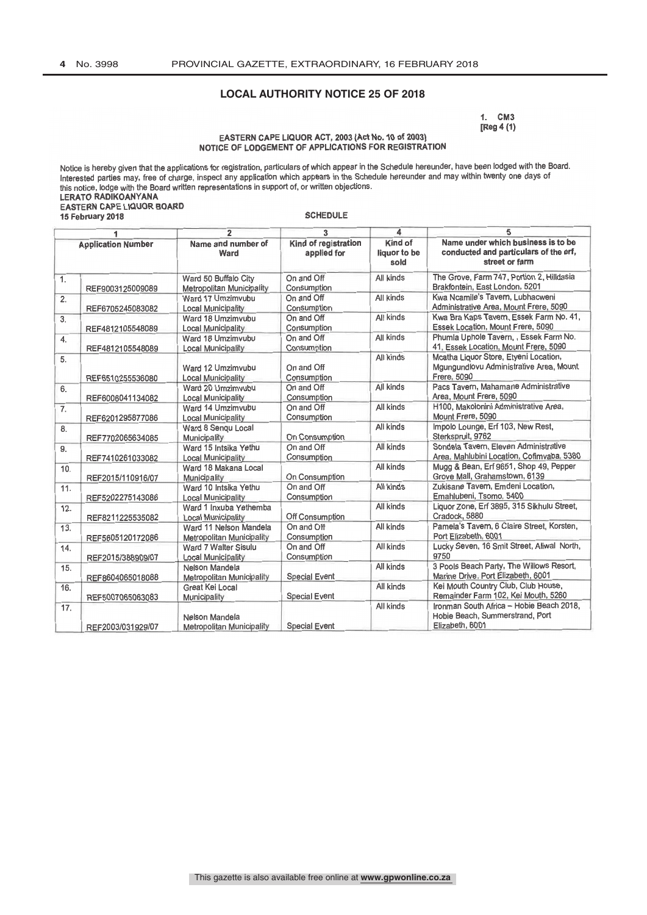# **LOCAL AUTHORITY NOTICE 25 OF 2018**

1. CM3  $[Reg 4 (1)]$ 

 $\mathbf{r}$  (1)  $\mathbf{r}$ 

## EASTERN CAPE LIQUOR ACT, 2003 (ACTION TO 21 2003)<br>AF AF LABOENENT AF ADDI IOATIONS EOD DECISTDATION NOTICE OF LODGEMENT OF APPLICATIONS FOR REGISTRATION

Notice is hereby given that the applications for registrations, particulars of which appear in the Schedule hereunder and may within twenty one days of Interested parties may, insee of charge, inspect any application which appears in the Schedule hereunder and may within twenty one days of<br>It is edited below the Beard unifor carecoorbines in support of or written objectio this notice, lodge with the Board written representations in support of, or written objections. LERATO RADIKOANYANA

## EASTERN CAPE LIQUOR BOARD 15 February 2018

|                           |                   | $\overline{2}$                                             | 4<br>$\mathbf{R}$                   |                                 | 5                                                                                               |  |
|---------------------------|-------------------|------------------------------------------------------------|-------------------------------------|---------------------------------|-------------------------------------------------------------------------------------------------|--|
| <b>Application Number</b> |                   | Name and number of<br>Ward                                 | Kind of registration<br>applied for | Kind of<br>liquor to be<br>sold | Name under which business is to be<br>conducted and particulars of the erf,<br>street or farm   |  |
| 1.                        | REF9003125009089  | Ward 50 Buffalo City<br><b>Metropolitan Municipality</b>   | On and Off<br>Consumption           | All kinds                       | The Grove, Farm 747, Portion 2, Hilldasia<br>Brakfontein, East London, 5201                     |  |
| $\overline{2}$ .          | REF6705245083082  | Ward 17 Umzimvubu<br><b>Local Municipality</b>             | On and Off<br>Consumption           | All kinds                       | Kwa Ncamile's Tavern, Lubhacweni<br>Administrative Area, Mount Frere, 5090                      |  |
| 3.                        | REF4812105548089  | Ward 18 Umzimvubu<br><b>Local Municipality</b>             | On and Off<br>Consumption           | All kinds                       | Kwa Bra Kaps Tavern, Essek Farm No. 41,<br>Essek Location, Mount Frere, 5090                    |  |
| 4.                        | REF4812105548089  | Ward 18 Umzimvubu<br><b>Local Municipality</b>             | On and Off<br>Consumption           | All kinds                       | Phumla Uphole Tavern, , Essek Farm No.<br>41. Essek Location, Mount Frere, 5090                 |  |
| 5.                        | REF6510255536080  | Ward 12 Umzimvubu<br><b>Local Municipality</b>             | On and Off<br>Consumption           | All kinds                       | Mcatha Liquor Store, Etyeni Location,<br>Mgungundlovu Administrative Area, Mount<br>Frere, 5090 |  |
| 6.                        | REF6006041134082  | Ward 20 Umzimvubu<br><b>Local Municipality</b>             | On and Off<br>Consumption           | All kinds                       | Pacs Tavern, Mahamane Administrative<br>Area, Mount Frere, 5090                                 |  |
| 7.                        | REF6201295877086  | Ward 14 Umzimvubu<br><b>Local Municipality</b>             | On and Off<br>Consumption           | All kinds                       | H100, Makolonini Administrative Area,<br>Mount Frere, 5090                                      |  |
| 8.                        | REF7702065634085  | Ward 8 Sengu Local<br>Municipality                         | On Consumption                      | All kinds                       | Impolo Lounge, Erf 103, New Rest,<br>Sterkspruit, 9762                                          |  |
| 9.                        | REF7410261033082  | Ward 15 Intsika Yethu<br><b>Local Municipality</b>         | On and Off<br>Consumption           | All kinds                       | Sondela Tavern, Eleven Administrative<br>Area, Mahlubini Location, Cofimvaba, 5380              |  |
| 10.                       | REF2015/110916/07 | Ward 18 Makana Local<br>Municipality                       | On Consumption                      | All kinds                       | Mugg & Bean, Erf 9651, Shop 49, Pepper<br>Grove Mall, Grahamstown, 6139                         |  |
| 11.                       | REF5202275143086  | Ward 10 Intsika Yethu<br><b>Local Municipality</b>         | On and Off<br>Consumption           | All kinds                       | Zukisane Tavern, Emdeni Location,<br>Emahlubeni, Tsomo, 5400                                    |  |
| 12.                       | REF8211225535082  | Ward 1 Inxuba Yethemba<br><b>Local Municipality</b>        | Off Consumption                     | All kinds                       | Liquor Zone, Erf 3895, 315 Sikhulu Street,<br>Cradock, 5880                                     |  |
| 13.                       | REF5605120172086  | Ward 11 Nelson Mandela<br><b>Metropolitan Municipality</b> | On and Off<br>Consumption           | All kinds                       | Pamela's Tavern, 6 Claire Street, Korsten,<br>Port Elizabeth, 6001                              |  |
| 14.                       | REF2015/388909/07 | Ward 7 Walter Sisulu<br><b>Local Municipality</b>          | On and Off<br>Consumption           | All kinds                       | Lucky Seven, 16 Smit Street, Aliwal North,<br>9750                                              |  |
| 15.                       | REF8604065018088  | Nelson Mandela<br><b>Metropolitan Municipality</b>         | <b>Special Event</b>                | All kinds                       | 3 Pools Beach Party, The Willows Resort,<br>Marine Drive, Port Elizabeth, 6001                  |  |
| 16.                       | REF5007065063083  | Great Kei Local<br>Municipality                            | <b>Special Event</b>                | All kinds                       | Kei Mouth Country Club, Club House,<br>Remainder Farm 102, Kei Mouth, 5260                      |  |
| 17.                       | REF2003/031929/07 | Nelson Mandela<br><b>Metropolitan Municipality</b>         | <b>Special Event</b>                | All kinds                       | Ironman South Africa - Hobie Beach 2018,<br>Hobie Beach, Summerstrand, Port<br>Elizabeth, 6001  |  |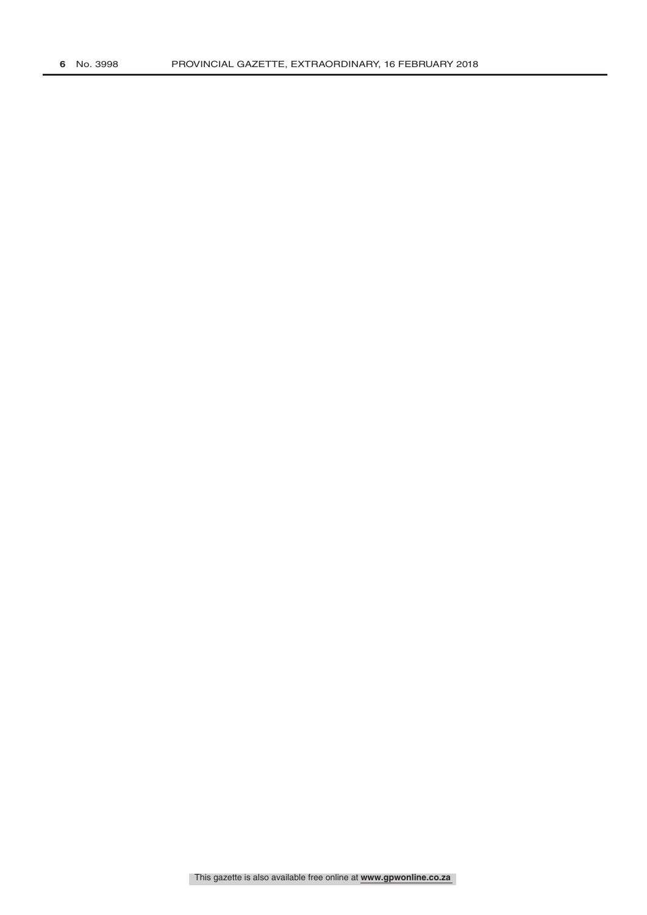This gazette is also available free online at **www.gpwonline.co.za**